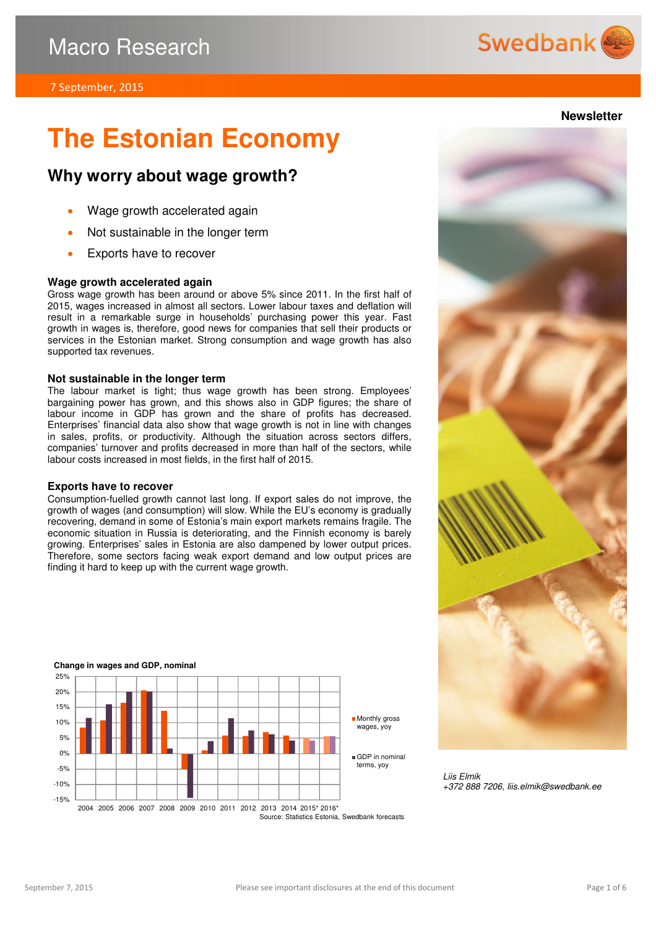# **The Estonian Economy**

# **Why worry about wage growth?**

- Wage growth accelerated again
- Not sustainable in the longer term
- Exports have to recover

# **Wage growth accelerated again**

Gross wage growth has been around or above 5% since 2011. In the first half of 2015, wages increased in almost all sectors. Lower labour taxes and deflation will result in a remarkable surge in households' purchasing power this year. Fast growth in wages is, therefore, good news for companies that sell their products or services in the Estonian market. Strong consumption and wage growth has also supported tax revenues.

### **Not sustainable in the longer term**

The labour market is tight; thus wage growth has been strong. Employees' bargaining power has grown, and this shows also in GDP figures; the share of labour income in GDP has grown and the share of profits has decreased. Enterprises' financial data also show that wage growth is not in line with changes in sales, profits, or productivity. Although the situation across sectors differs, companies' turnover and profits decreased in more than half of the sectors, while labour costs increased in most fields, in the first half of 2015.

#### **Exports have to recover**

Consumption-fuelled growth cannot last long. If export sales do not improve, the growth of wages (and consumption) will slow. While the EU's economy is gradually recovering, demand in some of Estonia's main export markets remains fragile. The economic situation in Russia is deteriorating, and the Finnish economy is barely growing. Enterprises' sales in Estonia are also dampened by lower output prices. Therefore, some sectors facing weak export demand and low output prices are finding it hard to keep up with the current wage growth.



# **Newsletter**

**Swedbank** 



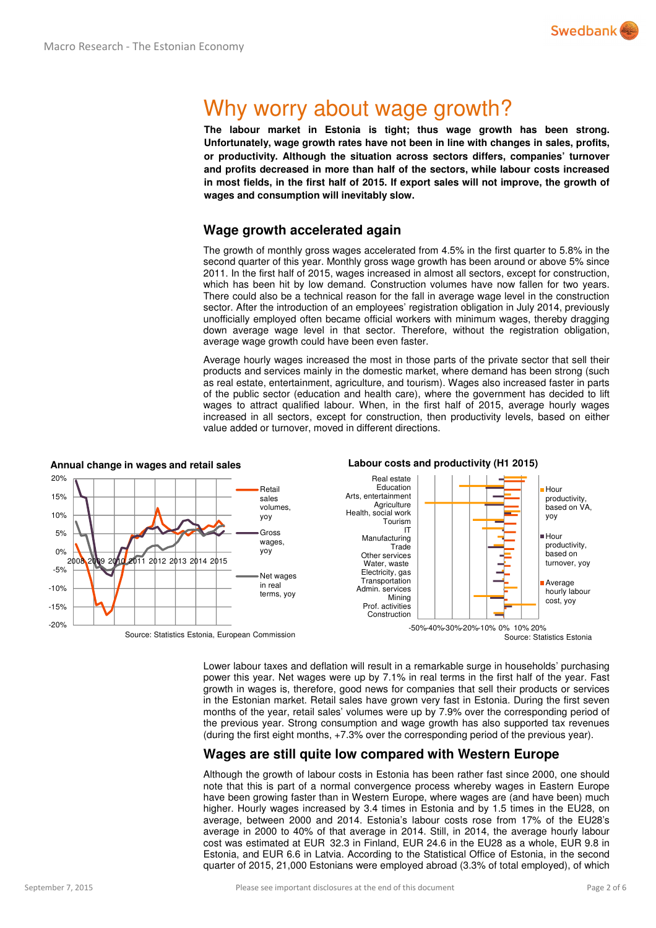

# Why worry about wage growth?

**The labour market in Estonia is tight; thus wage growth has been strong. Unfortunately, wage growth rates have not been in line with changes in sales, profits, or productivity. Although the situation across sectors differs, companies' turnover and profits decreased in more than half of the sectors, while labour costs increased in most fields, in the first half of 2015. If export sales will not improve, the growth of wages and consumption will inevitably slow.** 

# **Wage growth accelerated again**

The growth of monthly gross wages accelerated from 4.5% in the first quarter to 5.8% in the second quarter of this year. Monthly gross wage growth has been around or above 5% since 2011. In the first half of 2015, wages increased in almost all sectors, except for construction, which has been hit by low demand. Construction volumes have now fallen for two years. There could also be a technical reason for the fall in average wage level in the construction sector. After the introduction of an employees' registration obligation in July 2014, previously unofficially employed often became official workers with minimum wages, thereby dragging down average wage level in that sector. Therefore, without the registration obligation, average wage growth could have been even faster.

Average hourly wages increased the most in those parts of the private sector that sell their products and services mainly in the domestic market, where demand has been strong (such as real estate, entertainment, agriculture, and tourism). Wages also increased faster in parts of the public sector (education and health care), where the government has decided to lift wages to attract qualified labour. When, in the first half of 2015, average hourly wages increased in all sectors, except for construction, then productivity levels, based on either value added or turnover, moved in different directions.



Lower labour taxes and deflation will result in a remarkable surge in households' purchasing power this year. Net wages were up by 7.1% in real terms in the first half of the year. Fast growth in wages is, therefore, good news for companies that sell their products or services in the Estonian market. Retail sales have grown very fast in Estonia. During the first seven months of the year, retail sales' volumes were up by 7.9% over the corresponding period of the previous year. Strong consumption and wage growth has also supported tax revenues (during the first eight months, +7.3% over the corresponding period of the previous year).

# **Wages are still quite low compared with Western Europe**

Although the growth of labour costs in Estonia has been rather fast since 2000, one should note that this is part of a normal convergence process whereby wages in Eastern Europe have been growing faster than in Western Europe, where wages are (and have been) much higher. Hourly wages increased by 3.4 times in Estonia and by 1.5 times in the EU28, on average, between 2000 and 2014. Estonia's labour costs rose from 17% of the EU28's average in 2000 to 40% of that average in 2014. Still, in 2014, the average hourly labour cost was estimated at EUR 32.3 in Finland, EUR 24.6 in the EU28 as a whole, EUR 9.8 in Estonia, and EUR 6.6 in Latvia. According to the Statistical Office of Estonia, in the second quarter of 2015, 21,000 Estonians were employed abroad (3.3% of total employed), of which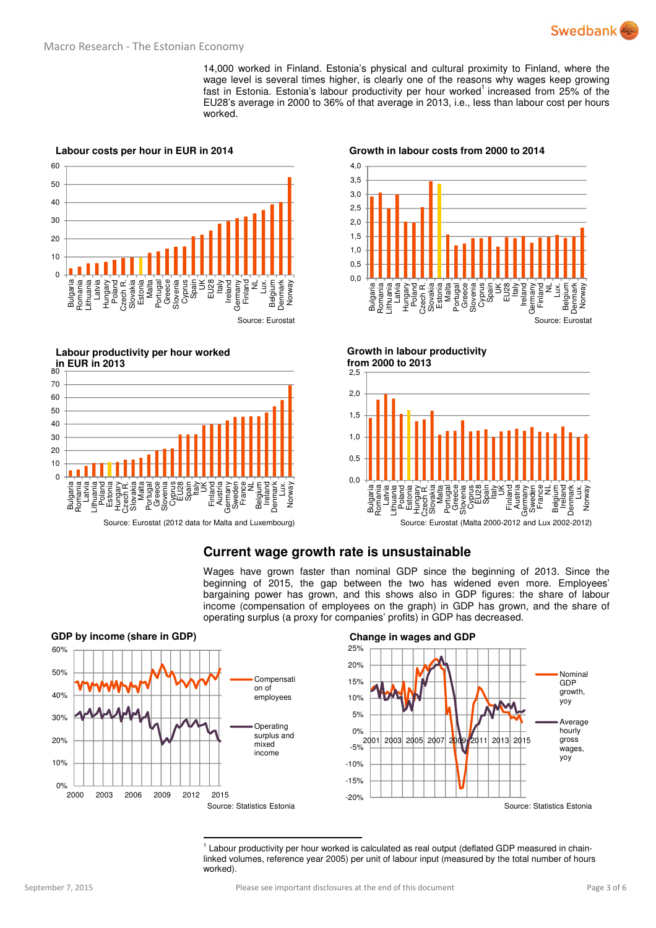

14,000 worked in Finland. Estonia's physical and cultural proximity to Finland, where the wage level is several times higher, is clearly one of the reasons why wages keep growing fast in Estonia. Estonia's labour productivity per hour worked<sup>1</sup> increased from 25% of the EU28's average in 2000 to 36% of that average in 2013, i.e., less than labour cost per hours worked.



80 **in EUR in 2013 Labour productivity per hour worked** 



Source: Eurostat (2012 data for Malta and Luxembourg)

l

### **Growth in labour costs from 2000 to 2014**



**Growth in labour productivity from 2000 to 2013**



# **Current wage growth rate is unsustainable**



<sup>1</sup> Labour productivity per hour worked is calculated as real output (deflated GDP measured in chainlinked volumes, reference year 2005) per unit of labour input (measured by the total number of hours worked).

Wages have grown faster than nominal GDP since the beginning of 2013. Since the beginning of 2015, the gap between the two has widened even more. Employees' bargaining power has grown, and this shows also in GDP figures: the share of labour income (compensation of employees on the graph) in GDP has grown, and the share of operating surplus (a proxy for companies' profits) in GDP has decreased.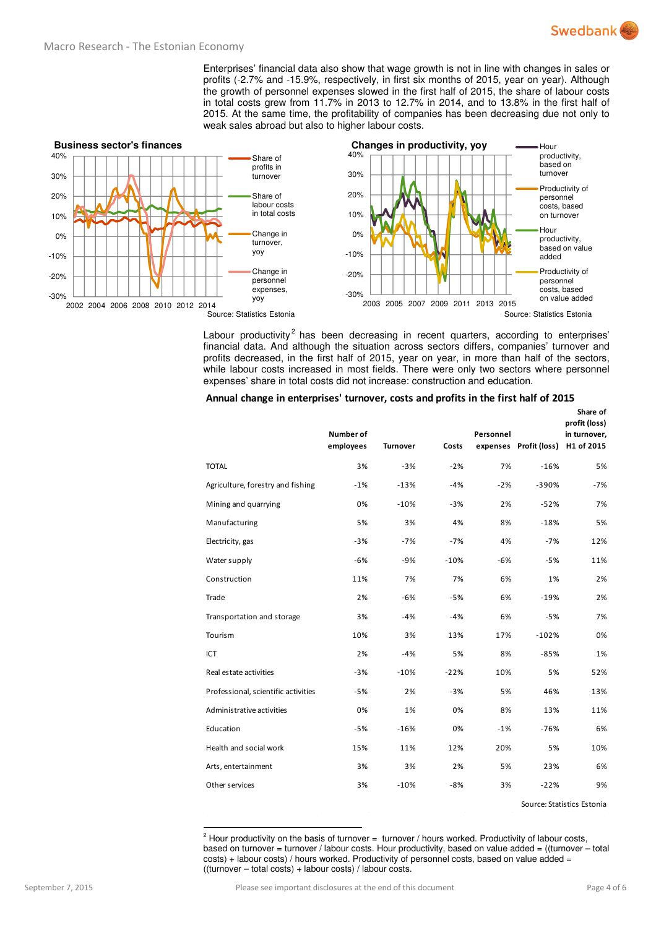

Enterprises' financial data also show that wage growth is not in line with changes in sales or profits (-2.7% and -15.9%, respectively, in first six months of 2015, year on year). Although the growth of personnel expenses slowed in the first half of 2015, the share of labour costs in total costs grew from 11.7% in 2013 to 12.7% in 2014, and to 13.8% in the first half of 2015. At the same time, the profitability of companies has been decreasing due not only to weak sales abroad but also to higher labour costs.



Labour productivity<sup>2</sup> has been decreasing in recent quarters, according to enterprises' financial data. And although the situation across sectors differs, companies' turnover and profits decreased, in the first half of 2015, year on year, in more than half of the sectors, while labour costs increased in most fields. There were only two sectors where personnel expenses' share in total costs did not increase: construction and education.

#### **Annual change in enterprises' turnover, costs and profits in the first half of 2015**

|                                     | Number of<br>employees | <b>Turnover</b> | Costs  | Personnel | expenses Profit (loss) | Share of<br>profit (loss)<br>in turnover,<br>H1 of 2015 |
|-------------------------------------|------------------------|-----------------|--------|-----------|------------------------|---------------------------------------------------------|
| <b>TOTAL</b>                        | 3%                     | $-3%$           | $-2%$  | 7%        | $-16%$                 | 5%                                                      |
| Agriculture, forestry and fishing   | $-1%$                  | $-13%$          | $-4%$  | $-2%$     | -390%                  | $-7%$                                                   |
| Mining and quarrying                | 0%                     | $-10%$          | $-3%$  | 2%        | $-52%$                 | 7%                                                      |
| Manufacturing                       | 5%                     | 3%              | 4%     | 8%        | $-18%$                 | 5%                                                      |
| Electricity, gas                    | $-3%$                  | $-7%$           | $-7%$  | 4%        | $-7%$                  | 12%                                                     |
| Water supply                        | $-6%$                  | $-9%$           | $-10%$ | $-6%$     | $-5%$                  | 11%                                                     |
| Construction                        | 11%                    | 7%              | 7%     | 6%        | 1%                     | 2%                                                      |
| Trade                               | 2%                     | $-6%$           | $-5%$  | 6%        | $-19%$                 | 2%                                                      |
| Transportation and storage          | 3%                     | $-4%$           | $-4%$  | 6%        | $-5%$                  | 7%                                                      |
| Tourism                             | 10%                    | 3%              | 13%    | 17%       | $-102%$                | 0%                                                      |
| ICT                                 | 2%                     | $-4%$           | 5%     | 8%        | $-85%$                 | 1%                                                      |
| Real estate activities              | $-3%$                  | $-10%$          | $-22%$ | 10%       | 5%                     | 52%                                                     |
| Professional, scientific activities | $-5%$                  | 2%              | $-3%$  | 5%        | 46%                    | 13%                                                     |
| Administrative activities           | 0%                     | 1%              | 0%     | 8%        | 13%                    | 11%                                                     |
| Education                           | $-5%$                  | $-16%$          | 0%     | $-1%$     | $-76%$                 | 6%                                                      |
| Health and social work              | 15%                    | 11%             | 12%    | 20%       | 5%                     | 10%                                                     |
| Arts, entertainment                 | 3%                     | 3%              | 2%     | 5%        | 23%                    | 6%                                                      |
| Other services                      | 3%                     | $-10%$          | $-8%$  | 3%        | $-22%$                 | 9%                                                      |
| Source: Statistics Estonia          |                        |                 |        |           |                        |                                                         |

 $\alpha$  Hour productivity on the basis of turnover = turnover / hours worked. Productivity of labour costs, based on turnover = turnover / labour costs. Hour productivity, based on value added = ((turnover – total costs) + labour costs) / hours worked. Productivity of personnel costs, based on value added = ((turnover – total costs) + labour costs) / labour costs.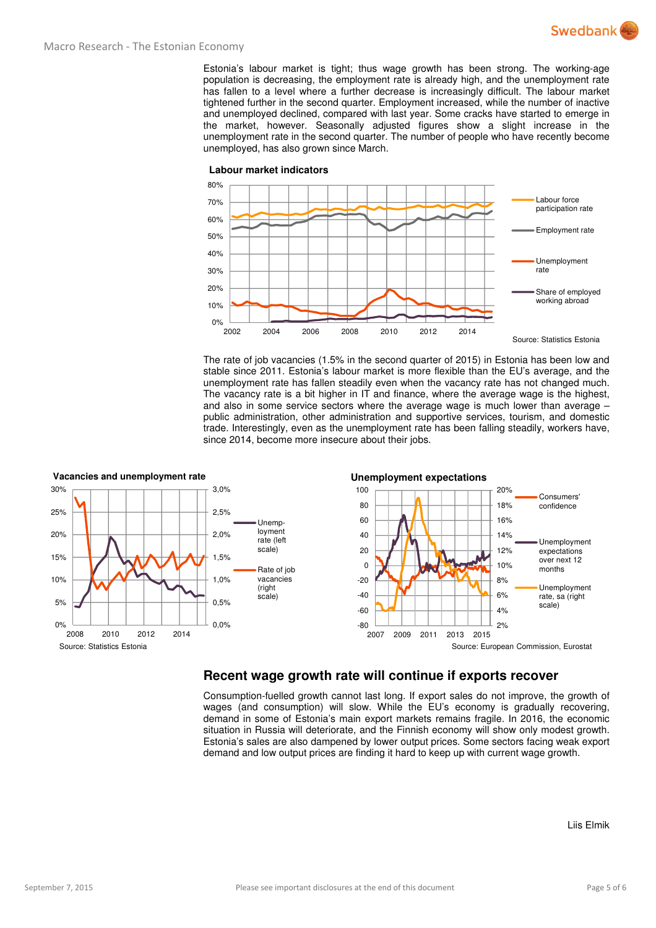

Estonia's labour market is tight; thus wage growth has been strong. The working-age population is decreasing, the employment rate is already high, and the unemployment rate has fallen to a level where a further decrease is increasingly difficult. The labour market tightened further in the second quarter. Employment increased, while the number of inactive and unemployed declined, compared with last year. Some cracks have started to emerge in the market, however. Seasonally adjusted figures show a slight increase in the unemployment rate in the second quarter. The number of people who have recently become unemployed, has also grown since March.



The rate of job vacancies (1.5% in the second quarter of 2015) in Estonia has been low and stable since 2011. Estonia's labour market is more flexible than the EU's average, and the unemployment rate has fallen steadily even when the vacancy rate has not changed much. The vacancy rate is a bit higher in  $IT$  and finance, where the average wage is the highest, and also in some service sectors where the average wage is much lower than average – public administration, other administration and supportive services, tourism, and domestic trade. Interestingly, even as the unemployment rate has been falling steadily, workers have, since 2014, become more insecure about their jobs.



# **Recent wage growth rate will continue if exports recover**

Consumption-fuelled growth cannot last long. If export sales do not improve, the growth of wages (and consumption) will slow. While the EU's economy is gradually recovering, demand in some of Estonia's main export markets remains fragile. In 2016, the economic situation in Russia will deteriorate, and the Finnish economy will show only modest growth. Estonia's sales are also dampened by lower output prices. Some sectors facing weak export demand and low output prices are finding it hard to keep up with current wage growth.

Liis Elmik

**Labour market indicators**